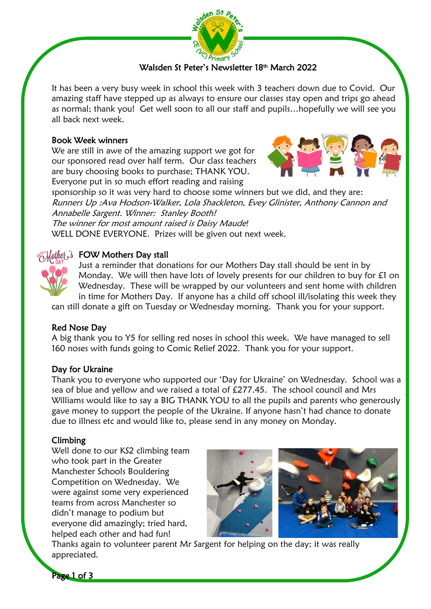

# Walsden St Peter's Newsletter 18th March 2022

It has been a very busy week in school this week with 3 teachers down due to Covid. Our amazing staff have stepped up as always to ensure our classes stay open and trips go ahead as normal; thank you! Get well soon to all our staff and pupils…hopefully we will see you all back next week.

### Book Week winners

We are still in awe of the amazing support we got for our sponsored read over half term. Our class teachers are busy choosing books to purchase; THANK YOU. Everyone put in so much effort reading and raising



sponsorship so it was very hard to choose some winners but we did, and they are: Runners Up :Ava Hodson-Walker, Lola Shackleton, Evey Glinister, Anthony Cannon and Annabelle Sargent. Winner: Stanley Booth! The winner for most amount raised is Daisy Maude*!*

WELL DONE EVERYONE. Prizes will be given out next week.

## $\delta$  others Day stall

Just a reminder that donations for our Mothers Day stall should be sent in by Monday. We will then have lots of lovely presents for our children to buy for £1 on Wednesday. These will be wrapped by our volunteers and sent home with children in time for Mothers Day. If anyone has a child off school ill/isolating this week they

can still donate a gift on Tuesday or Wednesday morning. Thank you for your support.

## Red Nose Day

A big thank you to Y5 for selling red noses in school this week. We have managed to sell 160 noses with funds going to Comic Relief 2022. Thank you for your support.

### Day for Ukraine

Thank you to everyone who supported our 'Day for Ukraine' on Wednesday. School was a sea of blue and yellow and we raised a total of £277.45. The school council and Mrs Williams would like to say a BIG THANK YOU to all the pupils and parents who generously gave money to support the people of the Ukraine. If anyone hasn't had chance to donate due to illness etc and would like to, please send in any money on Monday.

### Climbing

Well done to our KS2 climbing team who took part in the Greater Manchester Schools Bouldering Competition on Wednesday. We were against some very experienced teams from across Manchester so didn't manage to podium but everyone did amazingly; tried hard, helped each other and had fun!



Thanks again to volunteer parent Mr Sargent for helping on the day; it was really appreciated.

Page 1 of 3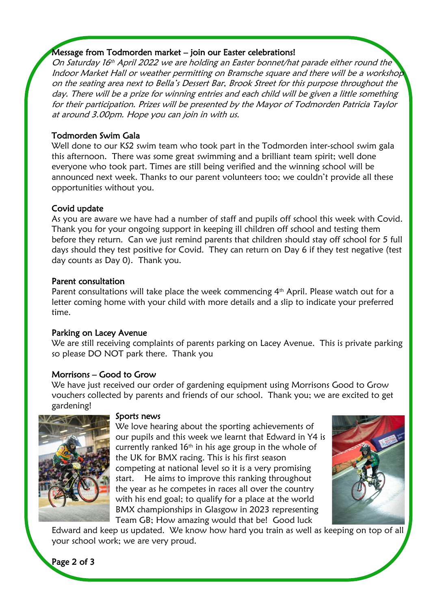# Message from Todmorden market – join our Easter celebrations!

On Saturday 16th April 2022 we are holding an Easter bonnet/hat parade either round the Indoor Market Hall or weather permitting on Bramsche square and there will be a workshop on the seating area next to Bella's Dessert Bar, Brook Street for this purpose throughout the day. There will be a prize for winning entries and each child will be given a little something for their participation. Prizes will be presented by the Mayor of Todmorden Patricia Taylor at around 3.00pm. Hope you can join in with us.

# Todmorden Swim Gala

Well done to our KS2 swim team who took part in the Todmorden inter-school swim gala this afternoon. There was some great swimming and a brilliant team spirit; well done everyone who took part. Times are still being verified and the winning school will be announced next week. Thanks to our parent volunteers too; we couldn't provide all these opportunities without you.

# Covid update

As you are aware we have had a number of staff and pupils off school this week with Covid. Thank you for your ongoing support in keeping ill children off school and testing them before they return. Can we just remind parents that children should stay off school for 5 full days should they test positive for Covid. They can return on Day 6 if they test negative (test day counts as Day 0). Thank you.

### Parent consultation

Parent consultations will take place the week commencing 4<sup>th</sup> April. Please watch out for a letter coming home with your child with more details and a slip to indicate your preferred time.

## Parking on Lacey Avenue

We are still receiving complaints of parents parking on Lacey Avenue. This is private parking so please DO NOT park there. Thank you

## Morrisons – Good to Grow

We have just received our order of gardening equipment using Morrisons Good to Grow vouchers collected by parents and friends of our school. Thank you; we are excited to get gardening!



### Sports news

We love hearing about the sporting achievements of our pupils and this week we learnt that Edward in Y4 is currently ranked  $16<sup>th</sup>$  in his age group in the whole of the UK for BMX racing. This is his first season competing at national level so it is a very promising start. He aims to improve this ranking throughout the year as he competes in races all over the country with his end goal; to qualify for a place at the world BMX championships in Glasgow in 2023 representing Team GB; How amazing would that be! Good luck



Edward and keep us updated. We know how hard you train as well as keeping on top of all your school work; we are very proud.